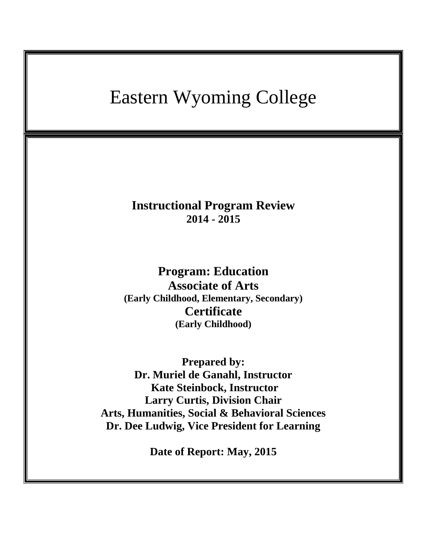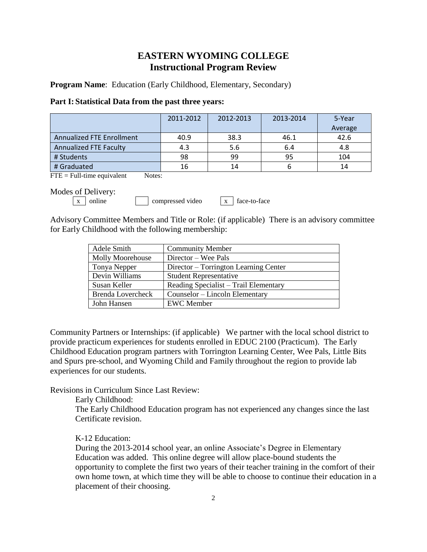# **EASTERN WYOMING COLLEGE Instructional Program Review**

**Program Name**: Education (Early Childhood, Elementary, Secondary)

### **Part I: Statistical Data from the past three years:**

|                               | 2011-2012 | 2012-2013 | 2013-2014 | 5-Year<br>Average |
|-------------------------------|-----------|-----------|-----------|-------------------|
| Annualized FTE Enrollment     | 40.9      | 38.3      | 46.1      | 42.6              |
| <b>Annualized FTE Faculty</b> | 4.3       | 5.6       | 6.4       | 4.8               |
| # Students                    | 98        | 99        | 95        | 104               |
| # Graduated                   | 16        | 14        |           | 14                |

 $\text{FTE} = \text{Full-time equivalent}$  Notes:

Modes of Delivery:

 $\boxed{x}$  online compressed video  $\boxed{x}$  face-to-face

Advisory Committee Members and Title or Role: (if applicable) There is an advisory committee for Early Childhood with the following membership:

| Adele Smith              | <b>Community Member</b>               |
|--------------------------|---------------------------------------|
| <b>Molly Moorehouse</b>  | Director – Wee Pals                   |
| Tonya Nepper             | Director – Torrington Learning Center |
| Devin Williams           | <b>Student Representative</b>         |
| Susan Keller             | Reading Specialist - Trail Elementary |
| <b>Brenda Lovercheck</b> | Counselor – Lincoln Elementary        |
| John Hansen              | <b>EWC</b> Member                     |

Community Partners or Internships: (if applicable) We partner with the local school district to provide practicum experiences for students enrolled in EDUC 2100 (Practicum). The Early Childhood Education program partners with Torrington Learning Center, Wee Pals, Little Bits and Spurs pre-school, and Wyoming Child and Family throughout the region to provide lab experiences for our students.

Revisions in Curriculum Since Last Review:

Early Childhood:

The Early Childhood Education program has not experienced any changes since the last Certificate revision.

# K-12 Education:

During the 2013-2014 school year, an online Associate's Degree in Elementary Education was added. This online degree will allow place-bound students the opportunity to complete the first two years of their teacher training in the comfort of their own home town, at which time they will be able to choose to continue their education in a placement of their choosing.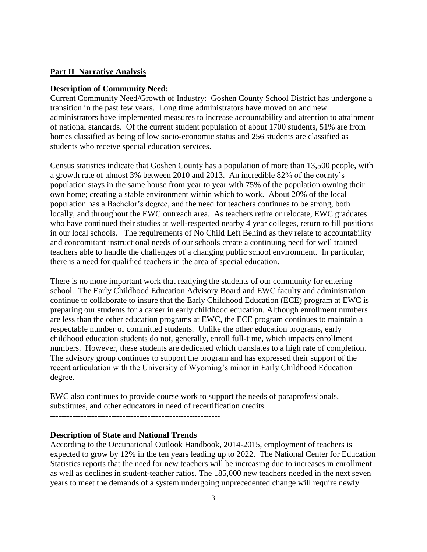# **Part II Narrative Analysis**

#### **Description of Community Need:**

Current Community Need/Growth of Industry: Goshen County School District has undergone a transition in the past few years. Long time administrators have moved on and new administrators have implemented measures to increase accountability and attention to attainment of national standards. Of the current student population of about 1700 students, 51% are from homes classified as being of low socio-economic status and 256 students are classified as students who receive special education services.

Census statistics indicate that Goshen County has a population of more than 13,500 people, with a growth rate of almost 3% between 2010 and 2013. An incredible 82% of the county's population stays in the same house from year to year with 75% of the population owning their own home; creating a stable environment within which to work. About 20% of the local population has a Bachelor's degree, and the need for teachers continues to be strong, both locally, and throughout the EWC outreach area. As teachers retire or relocate, EWC graduates who have continued their studies at well-respected nearby 4 year colleges, return to fill positions in our local schools. The requirements of No Child Left Behind as they relate to accountability and concomitant instructional needs of our schools create a continuing need for well trained teachers able to handle the challenges of a changing public school environment. In particular, there is a need for qualified teachers in the area of special education.

There is no more important work that readying the students of our community for entering school. The Early Childhood Education Advisory Board and EWC faculty and administration continue to collaborate to insure that the Early Childhood Education (ECE) program at EWC is preparing our students for a career in early childhood education. Although enrollment numbers are less than the other education programs at EWC, the ECE program continues to maintain a respectable number of committed students. Unlike the other education programs, early childhood education students do not, generally, enroll full-time, which impacts enrollment numbers. However, these students are dedicated which translates to a high rate of completion. The advisory group continues to support the program and has expressed their support of the recent articulation with the University of Wyoming's minor in Early Childhood Education degree.

EWC also continues to provide course work to support the needs of paraprofessionals, substitutes, and other educators in need of recertification credits.

**-------------------------------------------------------------**

## **Description of State and National Trends**

According to the Occupational Outlook Handbook, 2014-2015, employment of teachers is expected to grow by 12% in the ten years leading up to 2022. The National Center for Education Statistics reports that the need for new teachers will be increasing due to increases in enrollment as well as declines in student-teacher ratios. The 185,000 new teachers needed in the next seven years to meet the demands of a system undergoing unprecedented change will require newly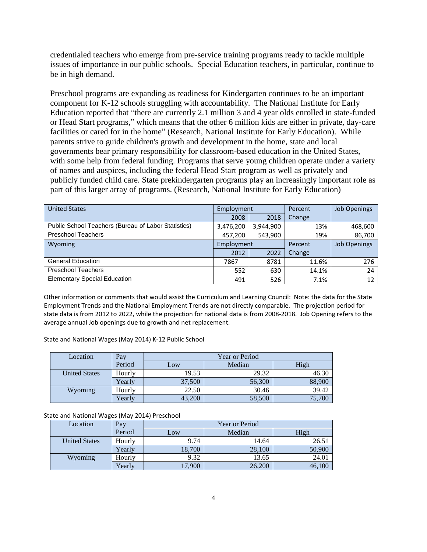credentialed teachers who emerge from pre-service training programs ready to tackle multiple issues of importance in our public schools. Special Education teachers, in particular, continue to be in high demand.

Preschool programs are expanding as readiness for Kindergarten continues to be an important component for K-12 schools struggling with accountability. The National Institute for Early Education reported that "there are currently 2.1 million 3 and 4 year olds enrolled in state-funded or Head Start programs," which means that the other 6 million kids are either in private, day-care facilities or cared for in the home" (Research, National Institute for Early Education). While parents strive to guide children's growth and development in the home, state and local governments bear primary responsibility for classroom-based education in the United States, with some help from federal funding. Programs that serve young children operate under a variety of names and auspices, including the federal Head Start program as well as privately and publicly funded child care. State prekindergarten programs play an increasingly important role as part of this larger array of programs. (Research, National Institute for Early Education)

| <b>United States</b>                                | Employment |           | Percent | <b>Job Openings</b> |
|-----------------------------------------------------|------------|-----------|---------|---------------------|
|                                                     | 2008       | 2018      | Change  |                     |
| Public School Teachers (Bureau of Labor Statistics) | 3,476,200  | 3,944,900 | 13%     | 468,600             |
| <b>Preschool Teachers</b>                           | 457,200    | 543,900   | 19%     | 86,700              |
| Wyoming                                             | Employment |           | Percent | <b>Job Openings</b> |
|                                                     | 2012       | 2022      | Change  |                     |
| <b>General Education</b>                            | 7867       | 8781      | 11.6%   | 276                 |
| <b>Preschool Teachers</b>                           | 552        | 630       | 14.1%   | 24                  |
| <b>Elementary Special Education</b>                 | 491        | 526       | 7.1%    | 12                  |

Other information or comments that would assist the Curriculum and Learning Council: Note: the data for the State Employment Trends and the National Employment Trends are not directly comparable. The projection period for state data is from 2012 to 2022, while the projection for national data is from 2008-2018. Job Opening refers to the average annual Job openings due to growth and net replacement.

State and National Wages (May 2014) K-12 Public School

| Location             | Pay    | <b>Year or Period</b> |        |        |  |
|----------------------|--------|-----------------------|--------|--------|--|
|                      | Period | Low                   | Median | High   |  |
| <b>United States</b> | Hourly | 19.53                 | 29.32  | 46.30  |  |
|                      | Yearly | 37,500                | 56,300 | 88,900 |  |
| Wyoming              | Hourly | 22.50                 | 30.46  | 39.42  |  |
|                      | Yearly | 43,200                | 58,500 | 75,700 |  |

State and National Wages (May 2014) Preschool

| Location             | Pay    | <b>Year or Period</b> |        |        |  |
|----------------------|--------|-----------------------|--------|--------|--|
|                      | Period | Low                   | Median | High   |  |
| <b>United States</b> | Hourly | 9.74                  | 14.64  | 26.51  |  |
|                      | Yearly | 18,700                | 28,100 | 50,900 |  |
| Wyoming              | Hourlv | 9.32                  | 13.65  | 24.01  |  |
|                      | Yearly | 17,900                | 26,200 | 46,100 |  |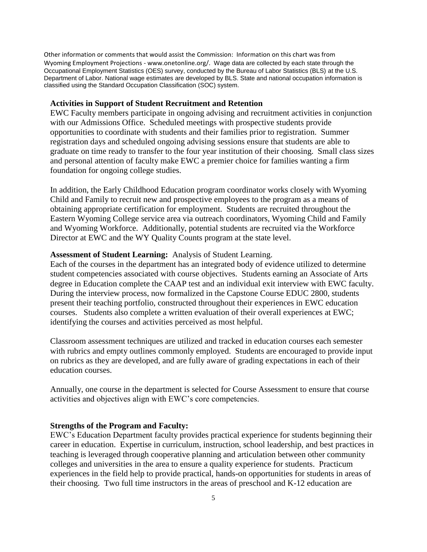Other information or comments that would assist the Commission: Information on this chart was from Wyoming Employment Projections - www.onetonline.org/. Wage data are collected by each state through the Occupational Employment Statistics (OES) survey, conducted by the Bureau of Labor Statistics (BLS) at the U.S. Department of Labor. National wage estimates are developed by BLS. State and national occupation information is classified using the Standard Occupation Classification (SOC) system.

### **Activities in Support of Student Recruitment and Retention**

EWC Faculty members participate in ongoing advising and recruitment activities in conjunction with our Admissions Office. Scheduled meetings with prospective students provide opportunities to coordinate with students and their families prior to registration. Summer registration days and scheduled ongoing advising sessions ensure that students are able to graduate on time ready to transfer to the four year institution of their choosing. Small class sizes and personal attention of faculty make EWC a premier choice for families wanting a firm foundation for ongoing college studies.

In addition, the Early Childhood Education program coordinator works closely with Wyoming Child and Family to recruit new and prospective employees to the program as a means of obtaining appropriate certification for employment. Students are recruited throughout the Eastern Wyoming College service area via outreach coordinators, Wyoming Child and Family and Wyoming Workforce. Additionally, potential students are recruited via the Workforce Director at EWC and the WY Quality Counts program at the state level.

### **Assessment of Student Learning:** Analysis of Student Learning.

Each of the courses in the department has an integrated body of evidence utilized to determine student competencies associated with course objectives. Students earning an Associate of Arts degree in Education complete the CAAP test and an individual exit interview with EWC faculty. During the interview process, now formalized in the Capstone Course EDUC 2800, students present their teaching portfolio, constructed throughout their experiences in EWC education courses. Students also complete a written evaluation of their overall experiences at EWC; identifying the courses and activities perceived as most helpful.

Classroom assessment techniques are utilized and tracked in education courses each semester with rubrics and empty outlines commonly employed. Students are encouraged to provide input on rubrics as they are developed, and are fully aware of grading expectations in each of their education courses.

Annually, one course in the department is selected for Course Assessment to ensure that course activities and objectives align with EWC's core competencies.

### **Strengths of the Program and Faculty:**

EWC's Education Department faculty provides practical experience for students beginning their career in education. Expertise in curriculum, instruction, school leadership, and best practices in teaching is leveraged through cooperative planning and articulation between other community colleges and universities in the area to ensure a quality experience for students. Practicum experiences in the field help to provide practical, hands-on opportunities for students in areas of their choosing. Two full time instructors in the areas of preschool and K-12 education are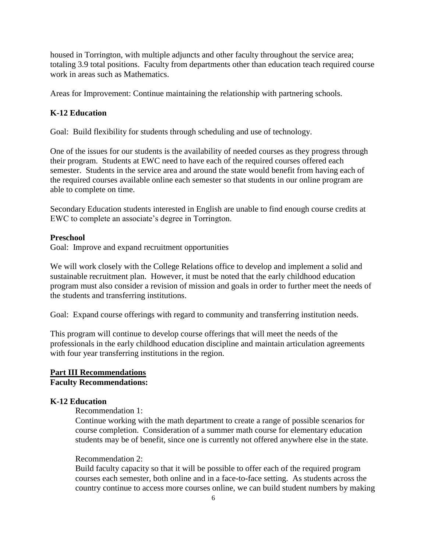housed in Torrington, with multiple adjuncts and other faculty throughout the service area; totaling 3.9 total positions. Faculty from departments other than education teach required course work in areas such as Mathematics.

Areas for Improvement: Continue maintaining the relationship with partnering schools.

# **K-12 Education**

Goal: Build flexibility for students through scheduling and use of technology.

One of the issues for our students is the availability of needed courses as they progress through their program. Students at EWC need to have each of the required courses offered each semester. Students in the service area and around the state would benefit from having each of the required courses available online each semester so that students in our online program are able to complete on time.

Secondary Education students interested in English are unable to find enough course credits at EWC to complete an associate's degree in Torrington.

#### **Preschool**

Goal: Improve and expand recruitment opportunities

We will work closely with the College Relations office to develop and implement a solid and sustainable recruitment plan. However, it must be noted that the early childhood education program must also consider a revision of mission and goals in order to further meet the needs of the students and transferring institutions.

Goal: Expand course offerings with regard to community and transferring institution needs.

This program will continue to develop course offerings that will meet the needs of the professionals in the early childhood education discipline and maintain articulation agreements with four year transferring institutions in the region.

# **Part III Recommendations Faculty Recommendations:**

#### **K-12 Education**

Recommendation 1:

Continue working with the math department to create a range of possible scenarios for course completion. Consideration of a summer math course for elementary education students may be of benefit, since one is currently not offered anywhere else in the state.

#### Recommendation 2:

Build faculty capacity so that it will be possible to offer each of the required program courses each semester, both online and in a face-to-face setting. As students across the country continue to access more courses online, we can build student numbers by making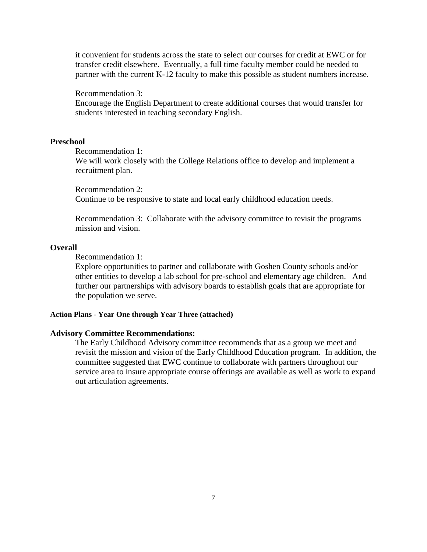it convenient for students across the state to select our courses for credit at EWC or for transfer credit elsewhere. Eventually, a full time faculty member could be needed to partner with the current K-12 faculty to make this possible as student numbers increase.

Recommendation 3:

Encourage the English Department to create additional courses that would transfer for students interested in teaching secondary English.

# **Preschool**

Recommendation 1:

We will work closely with the College Relations office to develop and implement a recruitment plan.

Recommendation 2: Continue to be responsive to state and local early childhood education needs.

Recommendation 3: Collaborate with the advisory committee to revisit the programs mission and vision.

#### **Overall**

Recommendation 1:

Explore opportunities to partner and collaborate with Goshen County schools and/or other entities to develop a lab school for pre-school and elementary age children. And further our partnerships with advisory boards to establish goals that are appropriate for the population we serve.

## **Action Plans - Year One through Year Three (attached)**

### **Advisory Committee Recommendations:**

The Early Childhood Advisory committee recommends that as a group we meet and revisit the mission and vision of the Early Childhood Education program. In addition, the committee suggested that EWC continue to collaborate with partners throughout our service area to insure appropriate course offerings are available as well as work to expand out articulation agreements.